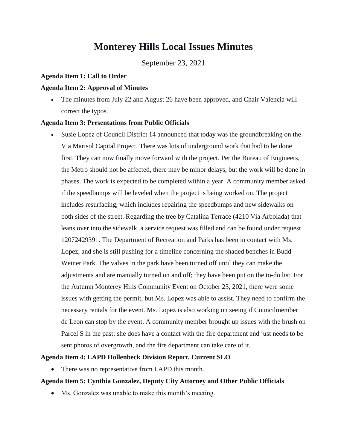# **Monterey Hills Local Issues Minutes**

September 23, 2021

#### **Agenda Item 1: Call to Order**

#### **Agenda Item 2: Approval of Minutes**

 The minutes from July 22 and August 26 have been approved, and Chair Valencia will correct the typos.

#### **Agenda Item 3: Presentations from Public Officials**

 Susie Lopez of Council District 14 announced that today was the groundbreaking on the Via Marisol Capital Project. There was lots of underground work that had to be done first. They can now finally move forward with the project. Per the Bureau of Engineers, the Metro should not be affected, there may be minor delays, but the work will be done in phases. The work is expected to be completed within a year. A community member asked if the speedbumps will be leveled when the project is being worked on. The project includes resurfacing, which includes repairing the speedbumps and new sidewalks on both sides of the street. Regarding the tree by Catalina Terrace (4210 Via Arbolada) that leans over into the sidewalk, a service request was filled and can be found under request 12072429391. The Department of Recreation and Parks has been in contact with Ms. Lopez, and she is still pushing for a timeline concerning the shaded benches in Budd Weiner Park. The valves in the park have been turned off until they can make the adjustments and are manually turned on and off; they have been put on the to-do list. For the Autumn Monterey Hills Community Event on October 23, 2021, there were some issues with getting the permit, but Ms. Lopez was able to assist. They need to confirm the necessary rentals for the event. Ms. Lopez is also working on seeing if Councilmember de Leon can stop by the event. A community member brought up issues with the brush on Parcel S in the past; she does have a contact with the fire department and just needs to be sent photos of overgrowth, and the fire department can take care of it.

#### **Agenda Item 4: LAPD Hollenbeck Division Report, Current SLO**

• There was no representative from LAPD this month.

### **Agenda Item 5: Cynthia Gonzalez, Deputy City Attorney and Other Public Officials**

• Ms. Gonzalez was unable to make this month's meeting.